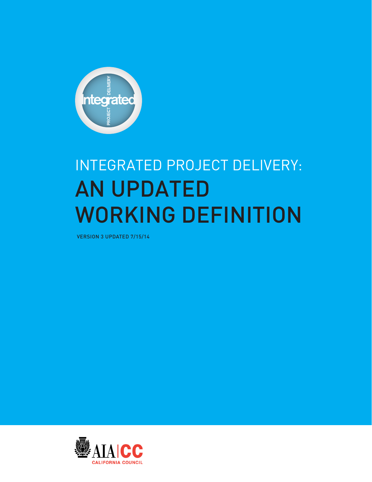

# INTEGRATED PROJECT DELIVERY: AN UPDATED WORKING DEFINITION

VERSION 3 UPDATED 7/15/14

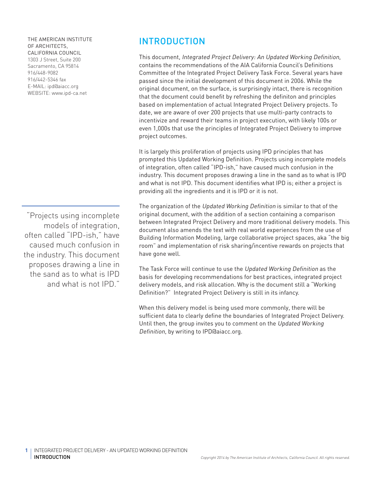#### THE AMERICAN INSTITUTE OF ARCHITECTS, CALIFORNIA COUNCIL

1303 J Street, Suite 200 Sacramento, CA 95814 916/448-9082 916/442-5346 fax E-MAIL: ipd@aiacc.org WEBSITE: www.ipd-ca.net

"Projects using incomplete models of integration, often called "IPD-ish," have caused much confusion in the industry. This document proposes drawing a line in the sand as to what is IPD and what is not IPD."

### **INTRODUCTION**

This document, Integrated Project Delivery: An Updated Working Definition, contains the recommendations of the AIA California Council's Definitions Committee of the Integrated Project Delivery Task Force. Several years have passed since the initial development of this document in 2006. While the original document, on the surface, is surprisingly intact, there is recognition that the document could benefit by refreshing the definiton and principles based on implementation of actual Integrated Project Delivery projects. To date, we are aware of over 200 projects that use multi-party contracts to incentivize and reward their teams in project execution, with likely 100s or even 1,000s that use the principles of Integrated Project Delivery to improve project outcomes.

It is largely this proliferation of projects using IPD principles that has prompted this Updated Working Definition. Projects using incomplete models of integration, often called "IPD-ish," have caused much confusion in the industry. This document proposes drawing a line in the sand as to what is IPD and what is not IPD. This document identifies what IPD is; either a project is providing all the ingredients and it is IPD or it is not.

The organization of the Updated Working Definition is similar to that of the original document, with the addition of a section containing a comparison between Integrated Project Delivery and more traditional delivery models. This document also amends the text with real world experiences from the use of Building Information Modeling, large collaborative project spaces, aka "the big room" and implementation of risk sharing/incentive rewards on projects that have gone well.

The Task Force will continue to use the Updated Working Definition as the basis for developing recommendations for best practices, integrated project delivery models, and risk allocation. Why is the document still a "Working Definition?" Integrated Project Delivery is still in its infancy.

When this delivery model is being used more commonly, there will be sufficient data to clearly define the boundaries of Integrated Project Delivery. Until then, the group invites you to comment on the Updated Working Definition, by writing to IPD@aiacc.org.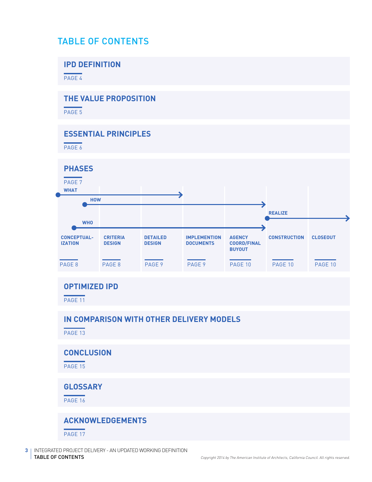# TABLE OF CONTENTS

### **IPD DEFINITION**

PAGE<sub>4</sub>

# **THE VALUE PROPOSITION**

PAGE<sub>5</sub>

### **ESSENTIAL PRINCIPLES**

PAGE 6



PAGE 13

### **CONCLUSION**

PAGE 15

### **GLOSSARY**

PAGE 16

### **ACKNOWLEDGEMENTS**

PAGE 17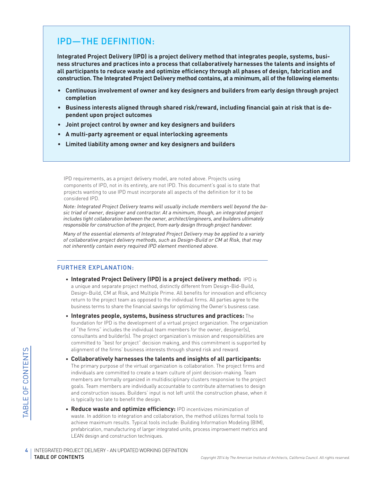# IPD—THE DEFINITION:

**Integrated Project Delivery (IPD) is a project delivery method that integrates people, systems, business structures and practices into a process that collaboratively harnesses the talents and insights of all participants to reduce waste and optimize efficiency through all phases of design, fabrication and construction. The Integrated Project Delivery method contains, at a minimum, all of the following elements:**

- **• Continuous involvement of owner and key designers and builders from early design through project completion**
- **• Business interests aligned through shared risk/reward, including financial gain at risk that is dependent upon project outcomes**
- **• Joint project control by owner and key designers and builders**
- **• A multi-party agreement or equal interlocking agreements**
- **• Limited liability among owner and key designers and builders**

IPD requirements, as a project delivery model, are noted above. Projects using components of IPD, not in its entirety, are not IPD. This document's goal is to state that projects wanting to use IPD must incorporate all aspects of the definition for it to be considered IPD.

Note: Integrated Project Delivery teams will usually include members well beyond the basic triad of owner, designer and contractor. At a minimum, though, an integrated project includes tight collaboration between the owner, architect/engineers, and builders ultimately responsible for construction of the project, from early design through project handover.

Many of the essential elements of Integrated Project Delivery may be applied to a variety of collaborative project delivery methods, such as Design-Build or CM at Risk, that may not inherently contain every required IPD element mentioned above.

#### FURTHER EXPLANATION:

- **Integrated Project Delivery (IPD) is a project delivery method:** IPD is a unique and separate project method, distinctly different from Design-Bid-Build, Design-Build, CM at Risk, and Multiple Prime. All benefits for innovation and efficiency return to the project team as opposed to the individual firms. All parties agree to the business terms to share the financial savings for optimizing the Owner's business case.
- **Integrates people, systems, business structures and practices:** The foundation for IPD is the development of a virtual project organization. The organization of "the firms" includes the individual team members for the owner, designer(s), consultants and builder(s). The project organization's mission and responsibilities are committed to "best for project" decision making, and this commitment is supported by alignment of the firms' business interests through shared risk and reward.
- SAN THE PROJECT TABLE OF CONTENTS COLLEMAN CONTENTS CONTENTS CONTENTS • **Collaboratively harnesses the talents and insights of all participants:** The primary purpose of the virtual organization is collaboration. The project firms and individuals are committed to create a team culture of joint decision-making. Team members are formally organized in multidisciplinary clusters responsive to the project goals. Team members are individually accountable to contribute alternatives to design and construction issues. Builders' input is not left until the construction phase, when it is typically too late to benefit the design.
	- **Reduce waste and optimize efficiency:** IPD incentivizes minimization of waste. In addition to integration and collaboration, the method utilizes formal tools to achieve maximum results. Typical tools include: Building Information Modeling (BIM), prefabrication, manufacturing of larger integrated units, process improvement metrics and LEAN design and construction techniques.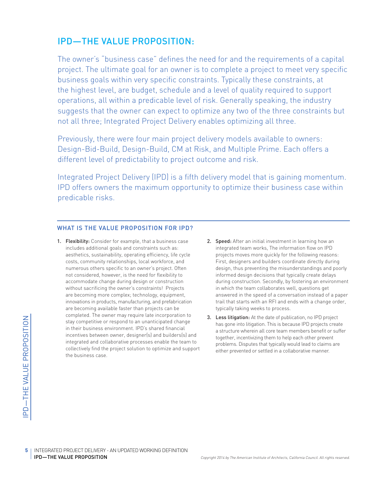# IPD—THE VALUE PROPOSITION:

The owner's "business case" defines the need for and the requirements of a capital project. The ultimate goal for an owner is to complete a project to meet very specific business goals within very specific constraints. Typically these constraints, at the highest level, are budget, schedule and a level of quality required to support operations, all within a predicable level of risk. Generally speaking, the industry suggests that the owner can expect to optimize any two of the three constraints but not all three; Integrated Project Delivery enables optimizing all three.

Previously, there were four main project delivery models available to owners: Design-Bid-Build, Design-Build, CM at Risk, and Multiple Prime. Each offers a different level of predictability to project outcome and risk.

Integrated Project Delivery (IPD) is a fifth delivery model that is gaining momentum. IPD offers owners the maximum opportunity to optimize their business case within predicable risks.

#### WHAT IS THE VALUE PROPOSITION FOR IPD?

- COMPLETE COMPLETE COMPLETED FROM Stay completed. The owners in their business encontrives between<br>integrated and collectively find the<br>collectively find the business case.<br> $\frac{19}{100}$ <br>S<br>IPD—THE VALUE PROPOSITION 1. Flexibility: Consider for example, that a business case includes additional goals and constraints such as: aesthetics, sustainability, operating efficiency, life cycle costs, community relationships, local workforce, and numerous others specific to an owner's project. Often not considered, however, is the need for flexibility to accommodate change during design or construction without sacrificing the owner's constraints! Projects are becoming more complex; technology, equipment, innovations in products, manufacturing, and prefabrication are becoming available faster than projects can be completed. The owner may require late incorporation to stay competitive or respond to an unanticipated change in their business environment. IPD's shared financial incentives between owner, designer(s) and builders(s) and integrated and collaborative processes enable the team to collectively find the project solution to optimize and support the business case.
- 2. Speed: After an initial investment in learning how an integrated team works, The information flow on IPD projects moves more quickly for the following reasons: First, designers and builders coordinate directly during design, thus preventing the misunderstandings and poorly informed design decisions that typically create delays during construction. Secondly, by fostering an environment in which the team collaborates well, questions get answered in the speed of a conversation instead of a paper trail that starts with an RFI and ends with a change order, typically taking weeks to process.
- 3. Less litigation: At the date of publication, no IPD project has gone into litigation. This is because IPD projects create a structure wherein all core team members benefit or suffer together, incentivizing them to help each other prevent problems. Disputes that typically would lead to claims are either prevented or settled in a collaborative manner.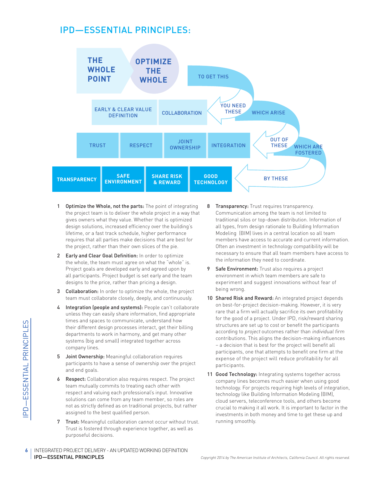# IPD—ESSENTIAL PRINCIPLES:



- 1 Optimize the Whole, not the parts: The point of integrating the project team is to deliver the whole project in a way that gives owners what they value. Whether that is optimized design solutions, increased efficiency over the building's lifetime, or a fast track schedule, higher performance requires that all parties make decisions that are best for the project, rather than their own slices of the pie.
- 2 Early and Clear Goal Definition: In order to optimize the whole, the team must agree on what the "whole" is. Project goals are developed early and agreed upon by all participants. Project budget is set early and the team designs to the price, rather than pricing a design.
- **3** Collaboration: In order to optimize the whole, the project team must collaborate closely, deeply, and continuously.
- 4 Integration (people and systems): People can't collaborate unless they can easily share information, find appropriate times and spaces to communicate, understand how their different design processes interact, get their billing departments to work in harmony, and get many other systems (big and small) integrated together across company lines.
- 5 Joint Ownership: Meaningful collaboration requires participants to have a sense of ownership over the project and end goals.
- Imes and spaces<br>
their different de:<br>
departments to w<br>
departments to w<br>
systems (big and<br>
company lines.<br>
5 **Joint Ownership:**<br>
participants to ha<br>
and end goals.<br>
6 **Respect:** Collabo<br>
team mutually co<br>
respect and valu **6** Respect: Collaboration also requires respect. The project team mutually commits to treating each other with respect and valuing each professional's input. Innovative solutions can come from any team member, so roles are not as strictly defined as on traditional projects, but rather assigned to the best qualified person.
	- 7 Trust: Meaningful collaboration cannot occur without trust. Trust is fostered through experience together, as well as purposeful decisions.
- 8 Transparency: Trust requires transparency. Communication among the team is not limited to traditional silos or top-down distribution. Information of all types, from design rationale to Building Information Modeling (BIM) lives in a central location so all team members have access to accurate and current information. Often an investment in technology compatibility will be necessary to ensure that all team members have access to the information they need to coordinate.
- 9 Safe Environment: Trust also requires a project environment in which team members are safe to experiment and suggest innovations without fear of being wrong.
- 10 Shared Risk and Reward: An integrated project depends on best-for-project decision-making. However, it is very rare that a firm will actually sacrifice its own profitability for the good of a project. Under IPD, risk/reward sharing structures are set up to cost or benefit the participants according to project outcomes rather than individual firm contributions. This aligns the decision-making influences – a decision that is best for the project will benefit all participants, one that attempts to benefit one firm at the expense of the project will reduce profitability for all participants.
- 11 Good Technology: Integrating systems together across company lines becomes much easier when using good technology. For projects requiring high levels of integration, technology like Building Information Modeling (BIM), cloud servers, teleconference tools, and others become crucial to making it all work. It is important to factor in the investments in both money and time to get these up and running smoothly.
- **6** I INTEGRATED PROJECT DELIVERY AN UPDATED WORKING DEFINITION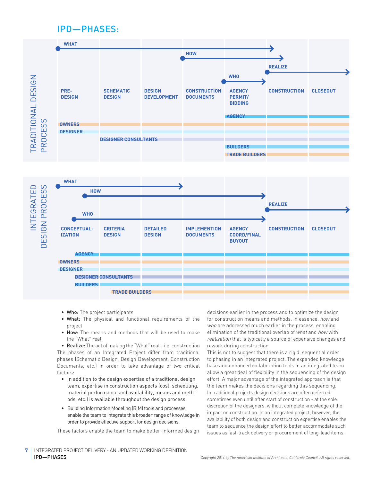### IPD—PHASES:





- Who: The project participants
- What: The physical and functional requirements of the project
- How: The means and methods that will be used to make the "What" real

• Realize: The act of making the "What" real – i.e. construction The phases of an Integrated Project differ from traditional phases (Schematic Design, Design Development, Construction Documents, etc.) in order to take advantage of two critical factors:

- In addition to the design expertise of a traditional design team, expertise in construction aspects (cost, scheduling, material performance and availability, means and methods, etc.) is available throughout the design process.
- Building Information Modeling (BIM) tools and processes enable the team to integrate this broader range of knowledge in order to provide effective support for design decisions.

These factors enable the team to make better-informed design

decisions earlier in the process and to optimize the design for construction means and methods. In essence, how and who are addressed much earlier in the process, enabling elimination of the traditional overlap of what and how with realization that is typically a source of expensive changes and rework during construction.

This is not to suggest that there is a rigid, sequential order to phasing in an integrated project. The expanded knowledge base and enhanced collaboration tools in an integrated team allow a great deal of flexibility in the sequencing of the design effort. A major advantage of the integrated approach is that the team makes the decisions regarding this sequencing. In traditional projects design decisions are often deferred sometimes even until after start of construction - at the sole discretion of the designers, without complete knowledge of the impact on construction. In an integrated project, however, the availability of both design and construction expertise enables the team to sequence the design effort to better accommodate such issues as fast-track delivery or procurement of long-lead items.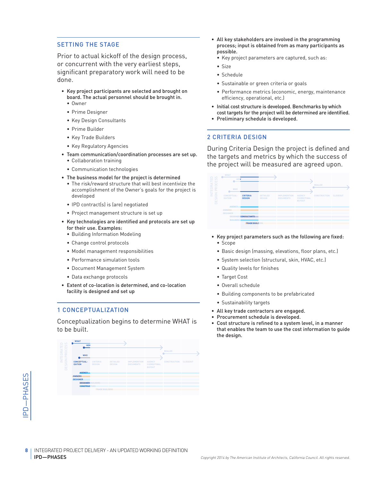#### SETTING THE STAGE

Prior to actual kickoff of the design process, or concurrent with the very earliest steps, significant preparatory work will need to be done.

- Key project participants are selected and brought on board. The actual personnel should be brought in.
	- Owner
	- Prime Designer
	- Key Design Consultants
	- Prime Builder
	- Key Trade Builders
	- Key Regulatory Agencies
- Team communication/coordination processes are set up. • Collaboration training
	-
	- Communication technologies
- The business model for the project is determined
	- The risk/reward structure that will best incentivize the accomplishment of the Owner's goals for the project is developed
	- IPD contract(s) is (are) negotiated
	- Project management structure is set up
- Key technologies are identified and protocols are set up for their use. Examples:
	- Building Information Modeling
	- Change control protocols
	- Model management responsibilities
	- Performance simulation tools
	- Document Management System
	- Data exchange protocols
- Extent of co-location is determined, and co-location facility is designed and set up

#### 1 CONCEPTUALIZATION

Conceptualization begins to determine WHAT is to be built.



- All key stakeholders are involved in the programming process; input is obtained from as many participants as possible.
	- Key project parameters are captured, such as:
	- Size
	- Schedule
	- Sustainable or green criteria or goals
	- Performance metrics (economic, energy, maintenance efficiency, operational, etc.)
- Initial cost structure is developed. Benchmarks by which cost targets for the project will be determined are identified.
- Preliminary schedule is developed.

#### 2 CRITERIA DESIGN

During Criteria Design the project is defined and the targets and metrics by which the success of the project will be measured are agreed upon.



- Key project parameters such as the following are fixed:
	- Scope
	- Basic design (massing, elevations, floor plans, etc.)
	- System selection (structural, skin, HVAC, etc.)
	- Quality levels for finishes
	- Target Cost
	- Overall schedule
	- Building components to be prefabricated
	- Sustainability targets
- All key trade contractors are engaged.
- Procurement schedule is developed.
- Cost structure is refined to a system level, in a manner that enables the team to use the cost information to guide the design.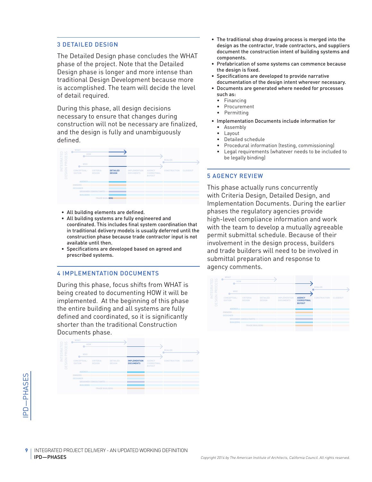#### 3 DETAILED DESIGN

The Detailed Design phase concludes the WHAT phase of the project. Note that the Detailed Design phase is longer and more intense than traditional Design Development because more is accomplished. The team will decide the level of detail required.

During this phase, all design decisions necessary to ensure that changes during construction will not be necessary are finalized, and the design is fully and unambiguously defined.

| $\cap$ $\cup$                                             | <b>WHAT</b>                          |                                  |                                  |                                         |                                                      |                     |                 |
|-----------------------------------------------------------|--------------------------------------|----------------------------------|----------------------------------|-----------------------------------------|------------------------------------------------------|---------------------|-----------------|
| <b>III</b> 5<br>ш                                         | <b>HOW</b>                           |                                  |                                  |                                         |                                                      |                     |                 |
| н<br>$\leq$ 0<br>$\circ$<br>œ<br>$\alpha$<br>$\circ$      | <b>WHO</b>                           |                                  |                                  |                                         |                                                      | <b>REALIZE</b>      |                 |
| $\Omega$<br>ш<br>E<br>$\approx$<br>=<br>ō,<br>ш<br>$\Box$ | <b>CONCEPTUAL-</b><br><b>IZATION</b> | <b>CRITERIA</b><br><b>DESIGN</b> | <b>DETAILED</b><br><b>DESIGN</b> | <b>IMPLEMENTION</b><br><b>DOCUMENTS</b> | <b>AGENCY</b><br><b>COORD/FINAL</b><br><b>BUYOUT</b> | <b>CONSTRUCTION</b> | <b>CLOSEOUT</b> |
|                                                           | <b>AGENCY</b>                        |                                  |                                  |                                         |                                                      |                     |                 |
|                                                           | OWNERS<br><b>DESIGNER</b>            |                                  |                                  |                                         |                                                      |                     |                 |
|                                                           |                                      | <b>DESIGNER CONSULTANTS</b>      |                                  |                                         |                                                      |                     |                 |
|                                                           | <b>BUILDERS</b>                      | <b>TRADE BUILDERS</b>            |                                  |                                         |                                                      |                     |                 |

- All building elements are defined.
- All building systems are fully engineered and coordinated. This includes final system coordination that in traditional delivery models is usually deferred until the construction phase because trade contractor input is not available until then.
- Specifications are developed based on agreed and prescribed systems.

#### 4 IMPLEMENTATION DOCUMENTS

During this phase, focus shifts from WHAT is being created to documenting HOW it will be implemented. At the beginning of this phase the entire building and all systems are fully defined and coordinated, so it is significantly shorter than the traditional Construction Documents phase.



- The traditional shop drawing process is merged into the design as the contractor, trade contractors, and suppliers document the construction intent of building systems and components.
- Prefabrication of some systems can commence because the design is fixed.
- Specifications are developed to provide narrative documentation of the design intent wherever necessary.
- Documents are generated where needed for processes such as:
	- **Financing**
	- Procurement
	- Permitting
- Implementation Documents include information for • Assembly
	- Layout
	- Detailed schedule
	- Procedural information (testing, commissioning)
	- Legal requirements (whatever needs to be included to be legally binding)

#### 5 AGENCY REVIEW

This phase actually runs concurrently with Criteria Design, Detailed Design, and Implementation Documents. During the earlier phases the regulatory agencies provide high-level compliance information and work with the team to develop a mutually agreeable permit submittal schedule. Because of their involvement in the design process, builders and trade builders will need to be involved in submittal preparation and response to agency comments.

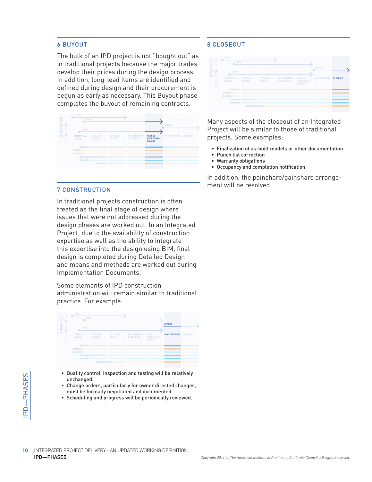#### 6 BUYOUT

The bulk of an IPD project is not "bought out" as in traditional projects because the major trades develop their prices during the design process. In addition, long-lead items are identified and defined during design and their procurement is begun as early as necessary. This Buyout phase completes the buyout of remaining contracts.

| $\cup$                                             | <b>WHAT</b>                          |                                  |                                  |                                         |                                                      |                     |                 |
|----------------------------------------------------|--------------------------------------|----------------------------------|----------------------------------|-----------------------------------------|------------------------------------------------------|---------------------|-----------------|
| ATEI<br>CES                                        | <b>HOW</b>                           |                                  |                                  |                                         |                                                      |                     |                 |
|                                                    |                                      |                                  |                                  |                                         |                                                      | <b>REALIZE</b>      |                 |
| $\alpha$ $\alpha$<br>$O$ $C$<br>шα                 | <b>WHO</b>                           |                                  |                                  |                                         |                                                      |                     |                 |
| Ę<br>z<br>$\circ$<br>=<br>-<br>$\overline{0}$<br>岂 | <b>CONCEPTUAL-</b><br><b>IZATION</b> | <b>CRITERIA</b><br><b>DESIGN</b> | <b>DETAILED</b><br><b>DESIGN</b> | <b>IMPLEMENTION</b><br><b>DOCUMENTS</b> | <b>AGENCY</b><br><b>COORD/FINAL</b><br><b>BUYOUT</b> | <b>CONSTRUCTION</b> | <b>CLOSEOUT</b> |
|                                                    | <b>AGENCY</b>                        |                                  |                                  |                                         |                                                      |                     |                 |
|                                                    | OWNERS                               |                                  |                                  |                                         |                                                      |                     |                 |
|                                                    | <b>DESIGNER</b>                      |                                  |                                  |                                         |                                                      |                     |                 |
|                                                    |                                      | <b>DESIGNER CONSULTANTS</b>      |                                  |                                         |                                                      |                     |                 |
|                                                    | <b>BUILDERS</b>                      |                                  |                                  |                                         |                                                      |                     |                 |
|                                                    |                                      | <b>TRADE BUILDERS</b>            |                                  |                                         |                                                      |                     |                 |
|                                                    |                                      |                                  |                                  |                                         |                                                      |                     |                 |
|                                                    |                                      |                                  |                                  |                                         |                                                      |                     |                 |

#### 7 CONSTRUCTION

In traditional projects construction is often treated as the final stage of design where issues that were not addressed during the design phases are worked out. In an Integrated Project, due to the availability of construction expertise as well as the ability to integrate this expertise into the design using BIM, final design is completed during Detailed Design and means and methods are worked out during Implementation Documents.

Some elements of IPD construction administration will remain similar to traditional practice. For example:

| $\Box$ $\omega$<br>山の                                                 | <b>WHAT</b><br>HOW                   |                                  |                                  |                                         |                                                      |                     |                 |
|-----------------------------------------------------------------------|--------------------------------------|----------------------------------|----------------------------------|-----------------------------------------|------------------------------------------------------|---------------------|-----------------|
| <b>AT</b><br>$\alpha$ $\circ$<br>$\alpha$<br>$\circ$<br>ш<br>$\Omega$ | <b>WHO</b>                           |                                  |                                  |                                         |                                                      | <b>REALIZE</b>      |                 |
| E<br>z<br>$\circ$<br>등<br>ш<br>$\Box$                                 | <b>CONCEPTUAL-</b><br><b>IZATION</b> | <b>CRITERIA</b><br><b>DESIGN</b> | <b>DETAILED</b><br><b>DESIGN</b> | <b>IMPLEMENTION</b><br><b>DOCUMENTS</b> | <b>AGENCY</b><br><b>COORD/FINAL</b><br><b>BUYOUT</b> | <b>CONSTRUCTION</b> | <b>CLOSEOUT</b> |
|                                                                       | <b>AGENCY</b>                        |                                  |                                  |                                         |                                                      |                     |                 |
|                                                                       | OWNERS                               |                                  |                                  |                                         |                                                      |                     |                 |
|                                                                       | <b>DESIGNER</b>                      |                                  |                                  |                                         |                                                      |                     |                 |
|                                                                       |                                      | <b>DESIGNER CONSULTANTS</b>      |                                  |                                         |                                                      |                     |                 |
|                                                                       | <b>BUILDERS</b>                      |                                  |                                  |                                         |                                                      |                     |                 |
|                                                                       |                                      | <b>TRADE BUILDERS</b>            |                                  |                                         |                                                      |                     |                 |

- Quality control, inspection and testing will be relatively unchanged.
- Change orders, particularly for owner directed changes, must be formally negotiated and documented.
- Scheduling and progress will be periodically reviewed.

#### 8 CLOSEOUT



Many aspects of the closeout of an Integrated Project will be similar to those of traditional projects. Some examples:

- Finalization of as-built models or other documentation
- Punch list correction
- Warranty obligations
- Occupancy and completion notification

In addition, the painshare/gainshare arrangement will be resolved.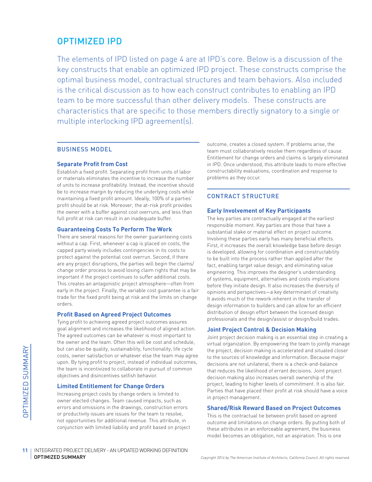### OPTIMIZED IPD

The elements of IPD listed on page 4 are at IPD's core. Below is a discussion of the key constructs that enable an optimized IPD project. These constructs comprise the optimal business model, contractual structures and team behaviors. Also included is the critical discussion as to how each construct contributes to enabling an IPD team to be more successful than other delivery models. These constructs are characteristics that are specific to those members directly signatory to a single or multiple interlocking IPD agreement(s).

#### BUSINESS MODEL

#### **Separate Profit from Cost**

Establish a fixed profit. Separating profit from units of labor or materials eliminates the incentive to increase the number of units to increase profitability. Instead, the incentive should be to increase margin by reducing the underlying costs while maintaining a fixed profit amount. Ideally, 100% of a parties' profit should be at risk. Moreover, the at-risk profit provides the owner with a buffer against cost overruns, and less than full profit at risk can result in an inadequate buffer.

#### **Guaranteeing Costs To Perform The Work**

There are several reasons for the owner guaranteeing costs without a cap. First, whenever a cap is placed on costs, the capped party wisely includes contingencies in its costs to protect against the potential cost overrun. Second, if there are any project disruptions, the parties will begin the claims/ change order process to avoid losing claim rights that may be important if the project continues to suffer additional costs. This creates an antagonistic project atmosphere—often from early in the project. Finally, the variable cost guarantee is a fair trade for the fixed profit being at risk and the limits on change orders.

#### **Profit Based on Agreed Project Outcomes**

Tying profit to achieving agreed project outcomes assures goal alignment and increases the likelihood of aligned action. The agreed outcomes can be whatever is most important to the owner and the team. Often this will be cost and schedule, but can also be quality, sustainability, functionality, life cycle costs, owner satisfaction or whatever else the team may agree upon. By tying profit to project, instead of individual outcomes, the team is incentivized to collaborate in pursuit of common objectives and disincentives selfish behavior.

#### **Limited Entitlement for Change Orders**

Increasing project costs by change orders is limited to owner elected changes. Team caused impacts, such as errors and omissions in the drawings, construction errors or productivity issues are issues for the team to resolve, not opportunities for additional revenue. This attribute, in conjunction with limited liability and profit based on project outcome, creates a closed system. If problems arise, the team must collaboratively resolve them regardless of cause. Entitlement for change orders and claims is largely eliminated in IPD. Once understood, this attribute leads to more effective constructability evaluations, coordination and response to problems as they occur.

#### CONTRACT STRUCTURE

#### **Early Involvement of Key Participants**

The key parties are contractually engaged at the earliest responsible moment. Key parties are those that have a substantial stake or material effect on project outcome. Involving these parties early has many beneficial effects. First, it increases the overall knowledge base before design is developed, allowing for coordination and constructability to be built into the process rather than applied after the fact, enabling target value design, and eliminating value engineering. This improves the designer's understanding of systems, equipment, alternatives and costs implications before they initiate design. It also increases the diversity of opinions and perspectives—a key determinant of creativity. It avoids much of the rework inherent in the transfer of design information to builders and can allow for an efficient distribution of design effort between the licensed design professionals and the design/assist or design/build trades.

#### **Joint Project Control & Decision Making**

Joint project decision making is an essential step in creating a virtual organization. By empowering the team to jointly manage the project, decision making is accelerated and situated closer to the sources of knowledge and information. Because major decisions are not unilateral, there is a check-and-balance that reduces the likelihood of errant decisions. Joint project decision making also increases overall ownership of the project, leading to higher levels of commitment. It is also fair. Parties that have placed their profit at risk should have a voice in project management.

#### **Shared/Risk Reward Based on Project Outcomes**

This is the contractual tie between profit based on agreed outcome and limitations on change orders. By putting both of these attributes in an enforceable agreement, the business model becomes an obligation, not an aspiration. This is one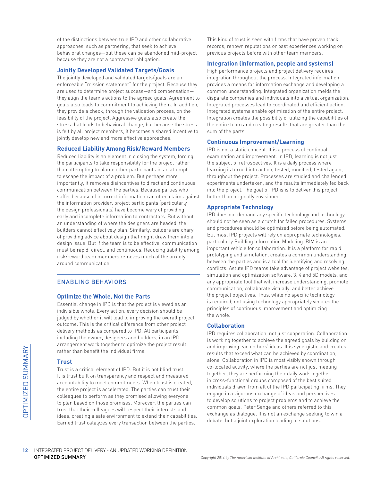of the distinctions between true IPD and other collaborative approaches, such as partnering, that seek to achieve behavioral changes—but these can be abandoned mid-project because they are not a contractual obligation.

#### **Jointly Developed Validated Targets/Goals**

The jointly developed and validated targets/goals are an enforceable "mission statement" for the project. Because they are used to determine project success—and compensation they align the team's actions to the agreed goals. Agreement to goals also leads to commitment to achieving them. In addition, they provide a check, through the validation process, on the feasibility of the project. Aggressive goals also create the stress that leads to behavioral change, but because the stress is felt by all project members, it becomes a shared incentive to jointly develop new and more effective approaches.

#### **Reduced Liability Among Risk/Reward Members**

Reduced liability is an element in closing the system, forcing the participants to take responsibility for the project rather than attempting to blame other participants in an attempt to escape the impact of a problem. But perhaps more importantly, it removes disincentives to direct and continuous communication between the parties. Because parties who suffer because of incorrect information can often claim against the information provider, project participants (particularly the design professionals) have become wary of providing early and incomplete information to contractors. But without an understanding of where the designers are headed, the builders cannot effectively plan. Similarly, builders are chary of providing advice about design that might draw them into a design issue. But if the team is to be effective, communication must be rapid, direct, and continuous. Reducing liability among risk/reward team members removes much of the anxiety around communication.

#### ENABLING BEHAVIORS

#### **Optimize the Whole, Not the Parts**

Essential change in IPD is that the project is viewed as an indivisible whole. Every action, every decision should be judged by whether it will lead to improving the overall project outcome. This is the critical difference from other project delivery methods as compared to IPD. All participants, including the owner, designers and builders, in an IPD arrangement work together to optimize the project result rather than benefit the individual firms.

#### **Trust**

Trust is a critical element of IPD. But it is not blind trust. It is trust built on transparency and respect and measured accountability to meet commitments. When trust is created, the entire project is accelerated. The parties can trust their colleagues to perform as they promised allowing everyone to plan based on those promises. Moreover, the parties can trust that their colleagues will respect their interests and ideas, creating a safe environment to extend their capabilities. Earned trust catalyzes every transaction between the parties.

This kind of trust is seen with firms that have proven track records, renown reputations or past experiences working on previous projects before with other team members.

#### **Integration (information, people and systems)**

High performance projects and project delivery requires integration throughout the process. Integrated information provides a means for information exchange and developing a common understanding. Integrated organization melds the disparate companies and individuals into a virtual organization. Integrated processes lead to coordinated and efficient action. Integrated systems enable optimization of the entire project. Integration creates the possibility of utilizing the capabilities of the entire team and creating results that are greater than the sum of the parts.

#### **Continuous Improvement/Learning**

IPD is not a static concept. It is a process of continual examination and improvement. In IPD, learning is not just the subject of retrospectives. It is a daily process where learning is turned into action, tested, modified, tested again, throughout the project. Processes are studied and challenged, experiments undertaken, and the results immediately fed back into the project. The goal of IPD is is to deliver this project better than originally envisioned.

#### **Appropriate Technology**

IPD does not demand any specific technology and technology should not be seen as a crutch for failed procedures. Systems and procedures should be optimized before being automated. But most IPD projects will rely on appropriate technologies, particularly Building Information Modeling. BIM is an important vehicle for collaboration. It is a platform for rapid prototyping and simulation, creates a common understanding between the parties and is a tool for identifying and resolving conflicts. Astute IPD teams take advantage of project websites, simulation and optimization software, 3, 4 and 5D models, and any appropriate tool that will increase understanding, promote communication, collaborate virtually, and better achieve the project objectives. Thus, while no specific technology is required, not using technology appropriately violates the principles of continuous improvement and optimizing the whole.

#### **Collaboration**

IPD requires collaboration, not just cooperation. Collaboration is working together to achieve the agreed goals by building on and improving each others' ideas. It is synergistic and creates results that exceed what can be achieved by coordination, alone. Collaboration in IPD is most visibly shown through co-located activity, where the parties are not just meeting together, they are performing their daily work together in cross-functional groups composed of the best suited individuals drawn from all of the IPD participating firms. They engage in a vigorous exchange of ideas and perspectives to develop solutions to project problems and to achieve the common goals. Peter Senge and others referred to this exchange as dialogue. It is not an exchange seeking to win a debate, but a joint exploration leading to solutions.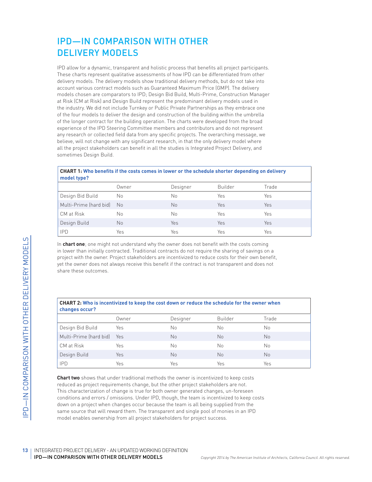# IPD—IN COMPARISON WITH OTHER DELIVERY MODELS

IPD allow for a dynamic, transparent and holistic process that benefits all project participants. These charts represent qualitative assessments of how IPD can be differentiated from other delivery models. The delivery models show traditional delivery methods, but do not take into account various contract models such as Guaranteed Maximum Price (GMP). The delivery models chosen are comparators to IPD; Design Bid Build, Multi-Prime, Construction Manager at Risk (CM at Risk) and Design Build represent the predominant delivery models used in the industry. We did not include Turnkey or Public Private Partnerships as they embrace one of the four models to deliver the design and construction of the building within the umbrella of the longer contract for the building operation. The charts were developed from the broad experience of the IPD Steering Committee members and contributors and do not represent any research or collected field data from any specific projects. The overarching message, we believe, will not change with any significant research, in that the only delivery model where all the project stakeholders can benefit in all the studies is Integrated Project Delivery, and sometimes Design Build.

#### **CHART 1: Who benefits if the costs comes in lower or the schedule shorter depending on delivery model type?**

| .                      |       |          |                |       |
|------------------------|-------|----------|----------------|-------|
|                        | Owner | Designer | <b>Builder</b> | Trade |
| Design Bid Build       | No    | No       | Yes            | Yes   |
| Multi-Prime (hard bid) | No.   | No       | Yes            | Yes   |
| CM at Risk             | Νo    | No       | Yes            | Yes   |
| Design Build           | No    | Yes      | Yes            | Yes   |
| <b>IPD</b>             | Yes   | Yes      | Yes            | Yes   |

|                                                                                                                                                                                                                                                                                                                                                                                                                                                                                                                                                                 |       | CHART 2: Who is incentivized to keep the cost down or reduce the schedule for the owner when |                |           |
|-----------------------------------------------------------------------------------------------------------------------------------------------------------------------------------------------------------------------------------------------------------------------------------------------------------------------------------------------------------------------------------------------------------------------------------------------------------------------------------------------------------------------------------------------------------------|-------|----------------------------------------------------------------------------------------------|----------------|-----------|
| changes occur?                                                                                                                                                                                                                                                                                                                                                                                                                                                                                                                                                  | Owner | Designer                                                                                     | <b>Builder</b> | Trade     |
| Design Bid Build                                                                                                                                                                                                                                                                                                                                                                                                                                                                                                                                                | Yes   | No                                                                                           | No             | <b>No</b> |
| Multi-Prime (hard bid)                                                                                                                                                                                                                                                                                                                                                                                                                                                                                                                                          | Yes   | <b>No</b>                                                                                    | <b>No</b>      | <b>No</b> |
| CM at Risk                                                                                                                                                                                                                                                                                                                                                                                                                                                                                                                                                      | Yes   | No                                                                                           | No             | <b>No</b> |
| Design Build                                                                                                                                                                                                                                                                                                                                                                                                                                                                                                                                                    | Yes   | <b>No</b>                                                                                    | <b>No</b>      | <b>No</b> |
| <b>IPD</b>                                                                                                                                                                                                                                                                                                                                                                                                                                                                                                                                                      | Yes   | Yes                                                                                          | Yes            | Yes       |
| <b>Chart two</b> shows that under traditional methods the owner is incentivized to keep costs<br>reduced as project requirements change, but the other project stakeholders are not.<br>This characterization of change is true for both owner generated changes, un-foreseen<br>conditions and errors / omissions. Under IPD, though, the team is incentivized to keep costs<br>down on a project when changes occur because the team is all being supplied from the<br>same source that will reward them. The transparent and single pool of monies in an IPD |       | model enables ownership from all project stakeholders for project success.                   |                |           |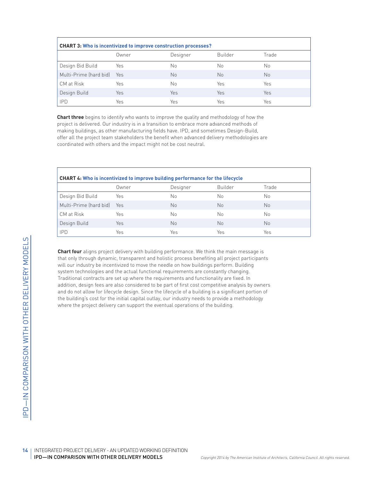| <b>CHART 3: Who is incentivized to improve construction processes?</b> |            |          |         |                |  |  |
|------------------------------------------------------------------------|------------|----------|---------|----------------|--|--|
|                                                                        | Owner      | Designer | Builder | Trade          |  |  |
| Design Bid Build                                                       | Yes        | No       | Nο      | No             |  |  |
| Multi-Prime (hard bid)                                                 | <b>Yes</b> | No       | No      | N <sub>o</sub> |  |  |
| CM at Risk                                                             | Yes        | No       | Yes     | Yes            |  |  |
| Design Build                                                           | Yes        | Yes      | Yes     | Yes            |  |  |
| <b>IPD</b>                                                             | Yes        | Yes      | Yes     | Yes            |  |  |

**Chart three** begins to identify who wants to improve the quality and methodology of how the project is delivered. Our industry is in a transition to embrace more advanced methods of making buildings, as other manufacturing fields have. IPD, and sometimes Design-Build, offer all the project team stakeholders the benefit when advanced delivery methodologies are coordinated with others and the impact might not be cost neutral.

| <b>CHART 4: Who is incentivized to improve building performance for the lifecycle</b> |       |          |                |                |  |  |
|---------------------------------------------------------------------------------------|-------|----------|----------------|----------------|--|--|
|                                                                                       | Owner | Designer | <b>Builder</b> | Trade          |  |  |
| Design Bid Build                                                                      | Yes   | Nο       | Nο             | No             |  |  |
| Multi-Prime (hard bid)                                                                | Yes   | No       | No             | N <sub>o</sub> |  |  |
| CM at Risk                                                                            | Yes   | Nο       | No             | No             |  |  |
| Design Build                                                                          | Yes   | No       | No             | N <sub>o</sub> |  |  |
| <b>IPD</b>                                                                            | Yes   | Yes      | Yes            | Yes            |  |  |

**Chart four** aligns project delivery with building<br>
that only through dynamic, transparent and ho<br>
system technologies and the actual functional<br>
and do not alluve for lifecycle design of<br>
and do not alluve fire right of **Chart four** aligns project delivery with building performance. We think the main message is that only through dynamic, transparent and holistic process benefiting all project participants will our industry be incentivized to move the needle on how buildings perform. Building system technologies and the actual functional requirements are constantly changing. Traditional contracts are set up where the requirements and functionality are fixed. In addition, design fees are also considered to be part of first cost competitive analysis by owners and do not allow for lifecycle design. Since the lifecycle of a building is a significant portion of the building's cost for the initial capital outlay, our industry needs to provide a methodology where the project delivery can support the eventual operations of the building.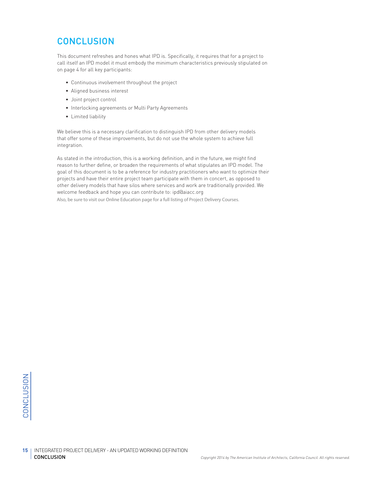# **CONCLUSION**

This document refreshes and hones what IPD is. Specifically, it requires that for a project to call itself an IPD model it must embody the minimum characteristics previously stipulated on on page 4 for all key participants:

- Continuous involvement throughout the project
- Aligned business interest
- Joint project control
- Interlocking agreements or Multi Party Agreements
- Limited liability

We believe this is a necessary clarification to distinguish IPD from other delivery models that offer some of these improvements, but do not use the whole system to achieve full integration.

As stated in the introduction, this is a working definition, and in the future, we might find reason to further define, or broaden the requirements of what stipulates an IPD model. The goal of this document is to be a reference for industry practitioners who want to optimize their projects and have their entire project team participate with them in concert, as opposed to other delivery models that have silos where services and work are traditionally provided. We welcome feedback and hope you can contribute to: ipd@aiacc.org Also, be sure to visit our Online Education page for a full listing of [Project Delivery Courses.](http://www.aiacc.org/project-delivery-courses-2/)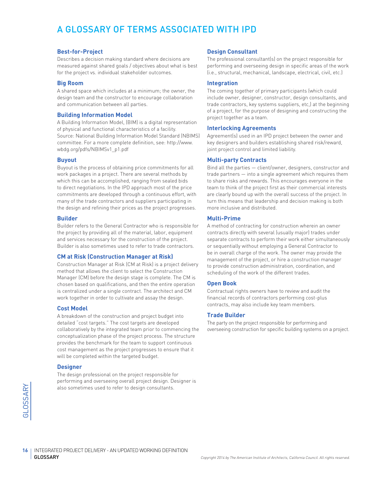# A GLOSSARY OF TERMS ASSOCIATED WITH IPD

#### **Best-for-Project**

Describes a decision making standard where decisions are measured against shared goals / objectives about what is best for the project vs. individual stakeholder outcomes.

#### **Big Room**

A shared space which includes at a minimum; the owner, the design team and the constructor to encourage collaboration and communication between all parties.

#### **Building Information Model**

A Building Information Model, (BIM) is a digital representation of physical and functional characteristics of a facility. Source: National Building Information Model Standard (NBIMS) committee. For a more complete definition, see: http://www. wbdg.org/pdfs/NBIMSv1\_p1.pdf

#### **Buyout**

Buyout is the process of obtaining price commitments for all work packages in a project. There are several methods by which this can be accomplished, ranging from sealed bids to direct negotiations. In the IPD approach most of the price commitments are developed through a continuous effort, with many of the trade contractors and suppliers participating in the design and refining their prices as the project progresses.

#### **Builder**

Builder refers to the General Contractor who is responsible for the project by providing all of the material, labor, equipment and services necessary for the construction of the project. Builder is also sometimes used to refer to trade contractors.

#### **CM at Risk (Construction Manager at Risk)**

Construction Manager at Risk (CM at Risk) is a project delivery method that allows the client to select the Construction Manager (CM) before the design stage is complete. The CM is chosen based on qualifications, and then the entire operation is centralized under a single contract. The architect and CM work together in order to cultivate and assay the design.

#### **Cost Model**

A breakdown of the construction and project budget into detailed "cost targets." The cost targets are developed collaboratively by the integrated team prior to commencing the conceptualization phase of the project process. The structure provides the benchmark for the team to support continuous cost management as the project progresses to ensure that it will be completed within the targeted budget.

#### **Designer**

The design professional on the project responsible for performing and overseeing overall project design. Designer is also sometimes used to refer to design consultants.

#### **Design Consultant**

The professional consultant(s) on the project responsible for performing and overseeing design in specific areas of the work (i.e., structural, mechanical, landscape, electrical, civil, etc.)

#### **Integration**

The coming together of primary participants (which could include owner, designer, constructor, design consultants, and trade contractors, key systems suppliers, etc,) at the beginning of a project, for the purpose of designing and constructing the project together as a team.

#### **Interlocking Agreements**

Agreement(s) used in an IPD project between the owner and key designers and builders establishing shared risk/reward, joint project control and limited liability.

#### **Multi-party Contracts**

Bind all the parties — client/owner, designers, constructor and trade partners — into a single agreement which requires them to share risks and rewards. This encourages everyone in the team to think of the project first as their commercial interests are clearly bound up with the overall success of the project. In turn this means that leadership and decision making is both more inclusive and distributed.

#### **Multi-Prime**

A method of contracting for construction wherein an owner contracts directly with several (usually major) trades under separate contracts to perform their work either simultaneously or sequentially without employing a General Contractor to be in overall charge of the work. The owner may provide the management of the project, or hire a construction manager to provide construction administration, coordination, and scheduling of the work of the different trades.

#### **Open Book**

Contractual rights owners have to review and audit the financial records of contractors performing cost-plus contracts, may also include key team members.

#### **Trade Builder**

The party on the project responsible for performing and overseeing construction for specific building systems on a project.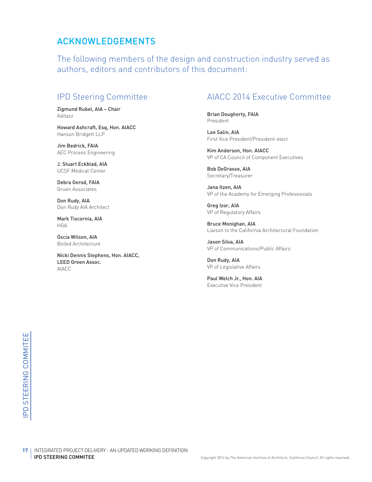### ACKNOWLEDGEMENTS

The following members of the design and construction industry served as authors, editors and contributors of this document:

### IPD Steering Committee

Zigmund Rubel, AIA – Chair Aditazz

Howard Ashcraft, Esq, Hon. AIACC Hanson Bridgett LLP

Jim Bedrick, FAIA AEC Process Engineering

J. Stuart Eckblad, AIA UCSF Medical Center

Debra Gerod, FAIA Gruen Associates

Don Rudy, AIA Don Rudy AIA Architect

Mark Tiscornia, AIA HGA

Oscia Wilson, AIA Boiled Architecture

Nicki Dennis Stephens, Hon. AIACC, LEED Green Assoc. AIACC

### AIACC 2014 Executive Committee

Brian Dougherty, FAIA President

Lee Salin, AIA First Vice President/President-elect

Kim Anderson, Hon. AIACC VP of CA Council of Component Executives

Bob DeGrasse, AIA Secretary/Treasurer

Jana Itzen, AIA VP of the Academy for Emerging Professionals

Greg Izor, AIA VP of Regulatory Affairs

Bruce Monighan, AIA Liaison to the California Architectural Foundation

Jason Silva, AIA VP of Communications/Public Affairs

Don Rudy, AIA VP of Legislative Affairs

Paul Welch Jr., Hon. AIA Executive Vice President